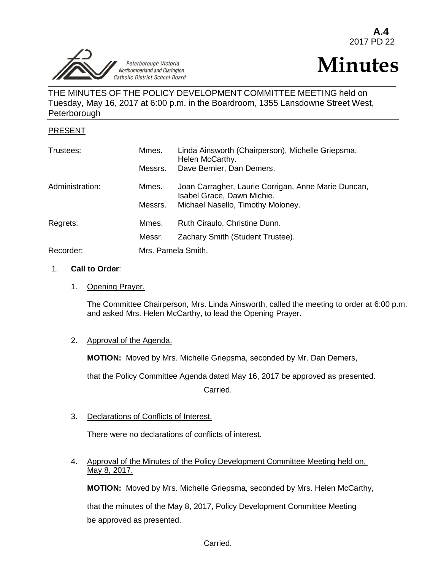Peterborough Victoria Northumberland and Clarington Catholic District School Board j

# **Minutes**

# THE MINUTES OF THE POLICY DEVELOPMENT COMMITTEE MEETING held on Tuesday, May 16, 2017 at 6:00 p.m. in the Boardroom, 1355 Lansdowne Street West, Peterborough

## PRESENT

| Trustees:       | Mmes.   | Linda Ainsworth (Chairperson), Michelle Griepsma,<br>Helen McCarthy.              |  |
|-----------------|---------|-----------------------------------------------------------------------------------|--|
|                 | Messrs. | Dave Bernier, Dan Demers.                                                         |  |
| Administration: | Mmes.   | Joan Carragher, Laurie Corrigan, Anne Marie Duncan,<br>Isabel Grace, Dawn Michie. |  |
|                 | Messrs. | Michael Nasello, Timothy Moloney.                                                 |  |
| Regrets:        | Mmes.   | Ruth Ciraulo, Christine Dunn.                                                     |  |
|                 | Messr.  | Zachary Smith (Student Trustee).                                                  |  |
| Recorder:       |         | Mrs. Pamela Smith.                                                                |  |

#### 1. **Call to Order**:

#### 1. Opening Prayer.

The Committee Chairperson, Mrs. Linda Ainsworth, called the meeting to order at 6:00 p.m. and asked Mrs. Helen McCarthy, to lead the Opening Prayer.

#### 2. Approval of the Agenda.

**MOTION:** Moved by Mrs. Michelle Griepsma, seconded by Mr. Dan Demers,

that the Policy Committee Agenda dated May 16, 2017 be approved as presented.

Carried.

#### 3. Declarations of Conflicts of Interest.

There were no declarations of conflicts of interest.

## 4. Approval of the Minutes of the Policy Development Committee Meeting held on, May 8, 2017.

**MOTION:** Moved by Mrs. Michelle Griepsma, seconded by Mrs. Helen McCarthy,

that the minutes of the May 8, 2017, Policy Development Committee Meeting be approved as presented.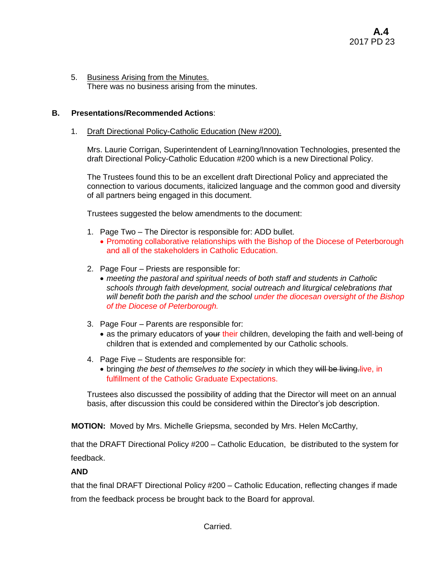5. Business Arising from the Minutes. There was no business arising from the minutes.

## **B. Presentations/Recommended Actions**:

#### 1. Draft Directional Policy-Catholic Education (New #200).

Mrs. Laurie Corrigan, Superintendent of Learning/Innovation Technologies, presented the draft Directional Policy-Catholic Education #200 which is a new Directional Policy.

The Trustees found this to be an excellent draft Directional Policy and appreciated the connection to various documents, italicized language and the common good and diversity of all partners being engaged in this document.

Trustees suggested the below amendments to the document:

- 1. Page Two The Director is responsible for: ADD bullet.
	- Promoting collaborative relationships with the Bishop of the Diocese of Peterborough and all of the stakeholders in Catholic Education.
- 2. Page Four Priests are responsible for:
	- *meeting the pastoral and spiritual needs of both staff and students in Catholic schools through faith development, social outreach and liturgical celebrations that will benefit both the parish and the school under the diocesan oversight of the Bishop of the Diocese of Peterborough.*
- 3. Page Four Parents are responsible for:
	- as the primary educators of vour their children, developing the faith and well-being of children that is extended and complemented by our Catholic schools.
- 4. Page Five Students are responsible for:
	- bringing *the best of themselves to the society* in which they will be living. live, in fulfillment of the Catholic Graduate Expectations.

Trustees also discussed the possibility of adding that the Director will meet on an annual basis, after discussion this could be considered within the Director's job description.

**MOTION:** Moved by Mrs. Michelle Griepsma, seconded by Mrs. Helen McCarthy,

that the DRAFT Directional Policy #200 – Catholic Education, be distributed to the system for feedback.

#### **AND**

that the final DRAFT Directional Policy #200 – Catholic Education, reflecting changes if made from the feedback process be brought back to the Board for approval.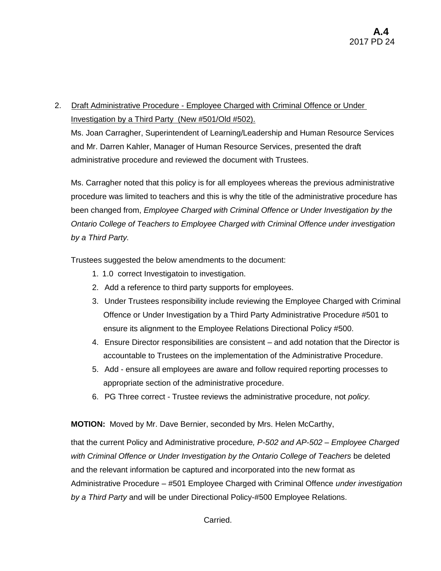# 2. Draft Administrative Procedure - Employee Charged with Criminal Offence or Under Investigation by a Third Party (New #501/Old #502).

Ms. Joan Carragher, Superintendent of Learning/Leadership and Human Resource Services and Mr. Darren Kahler, Manager of Human Resource Services, presented the draft administrative procedure and reviewed the document with Trustees.

Ms. Carragher noted that this policy is for all employees whereas the previous administrative procedure was limited to teachers and this is why the title of the administrative procedure has been changed from, *Employee Charged with Criminal Offence or Under Investigation by the Ontario College of Teachers to Employee Charged with Criminal Offence under investigation by a Third Party.*

Trustees suggested the below amendments to the document:

- 1. 1.0 correct Investigatoin to investigation.
- 2. Add a reference to third party supports for employees.
- 3. Under Trustees responsibility include reviewing the Employee Charged with Criminal Offence or Under Investigation by a Third Party Administrative Procedure #501 to ensure its alignment to the Employee Relations Directional Policy #500.
- 4. Ensure Director responsibilities are consistent and add notation that the Director is accountable to Trustees on the implementation of the Administrative Procedure.
- 5. Add ensure all employees are aware and follow required reporting processes to appropriate section of the administrative procedure.
- 6. PG Three correct Trustee reviews the administrative procedure, not *policy.*

**MOTION:** Moved by Mr. Dave Bernier, seconded by Mrs. Helen McCarthy,

that the current Policy and Administrative procedure*, P-502 and AP-502 – Employee Charged with Criminal Offence or Under Investigation by the Ontario College of Teachers* be deleted and the relevant information be captured and incorporated into the new format as Administrative Procedure – #501 Employee Charged with Criminal Offence *under investigation by a Third Party* and will be under Directional Policy-#500 Employee Relations.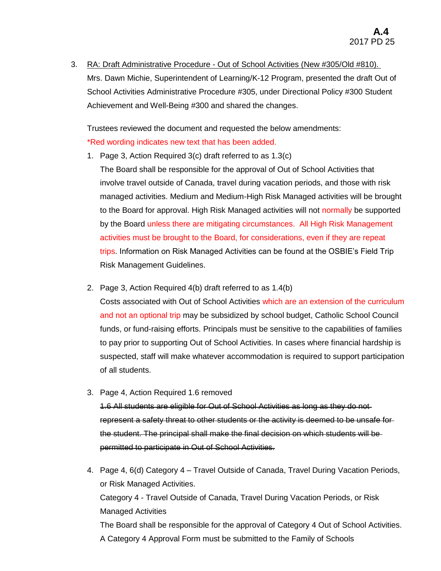3. RA: Draft Administrative Procedure - Out of School Activities (New #305/Old #810). Mrs. Dawn Michie, Superintendent of Learning/K-12 Program, presented the draft Out of School Activities Administrative Procedure #305, under Directional Policy #300 Student Achievement and Well-Being #300 and shared the changes.

Trustees reviewed the document and requested the below amendments:

# \*Red wording indicates new text that has been added.

1. Page 3, Action Required 3(c) draft referred to as 1.3(c)

The Board shall be responsible for the approval of Out of School Activities that involve travel outside of Canada, travel during vacation periods, and those with risk managed activities. Medium and Medium-High Risk Managed activities will be brought to the Board for approval. High Risk Managed activities will not normally be supported by the Board unless there are mitigating circumstances. All High Risk Management activities must be brought to the Board, for considerations, even if they are repeat trips. Information on Risk Managed Activities can be found at the OSBIE's Field Trip Risk Management Guidelines.

2. Page 3, Action Required 4(b) draft referred to as 1.4(b)

Costs associated with Out of School Activities which are an extension of the curriculum and not an optional trip may be subsidized by school budget, Catholic School Council funds, or fund-raising efforts. Principals must be sensitive to the capabilities of families to pay prior to supporting Out of School Activities. In cases where financial hardship is suspected, staff will make whatever accommodation is required to support participation of all students.

3. Page 4, Action Required 1.6 removed

1.6 All students are eligible for Out of School Activities as long as they do not represent a safety threat to other students or the activity is deemed to be unsafe for the student. The principal shall make the final decision on which students will be permitted to participate in Out of School Activities.

4. Page 4, 6(d) Category 4 – Travel Outside of Canada, Travel During Vacation Periods, or Risk Managed Activities. Category 4 - Travel Outside of Canada, Travel During Vacation Periods, or Risk Managed Activities The Board shall be responsible for the approval of Category 4 Out of School Activities. A Category 4 Approval Form must be submitted to the Family of Schools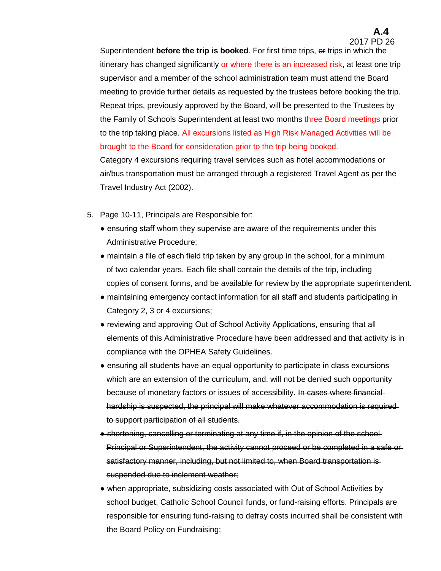# **A.4**

2017 PD 26

Superintendent **before the trip is booked**. For first time trips, or trips in which the itinerary has changed significantly or where there is an increased risk, at least one trip supervisor and a member of the school administration team must attend the Board meeting to provide further details as requested by the trustees before booking the trip. Repeat trips, previously approved by the Board, will be presented to the Trustees by the Family of Schools Superintendent at least two months three Board meetings prior to the trip taking place. All excursions listed as High Risk Managed Activities will be brought to the Board for consideration prior to the trip being booked.

Category 4 excursions requiring travel services such as hotel accommodations or air/bus transportation must be arranged through a registered Travel Agent as per the Travel Industry Act (2002).

- 5. Page 10-11, Principals are Responsible for:
	- ensuring staff whom they supervise are aware of the requirements under this Administrative Procedure;
	- maintain a file of each field trip taken by any group in the school, for a minimum of two calendar years. Each file shall contain the details of the trip, including copies of consent forms, and be available for review by the appropriate superintendent.
	- maintaining emergency contact information for all staff and students participating in Category 2, 3 or 4 excursions;
	- reviewing and approving Out of School Activity Applications, ensuring that all elements of this Administrative Procedure have been addressed and that activity is in compliance with the OPHEA Safety Guidelines.
	- ensuring all students have an equal opportunity to participate in class excursions which are an extension of the curriculum, and, will not be denied such opportunity because of monetary factors or issues of accessibility. In cases where financialhardship is suspected, the principal will make whatever accommodation is required to support participation of all students.
	- shortening, cancelling or terminating at any time if, in the opinion of the school Principal or Superintendent, the activity cannot proceed or be completed in a safe or satisfactory manner, including, but not limited to, when Board transportation is suspended due to inclement weather;
	- when appropriate, subsidizing costs associated with Out of School Activities by school budget, Catholic School Council funds, or fund-raising efforts. Principals are responsible for ensuring fund-raising to defray costs incurred shall be consistent with the Board Policy on Fundraising;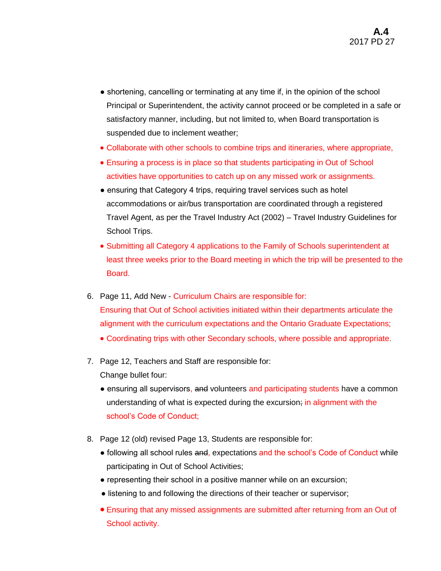- shortening, cancelling or terminating at any time if, in the opinion of the school Principal or Superintendent, the activity cannot proceed or be completed in a safe or satisfactory manner, including, but not limited to, when Board transportation is suspended due to inclement weather;
- Collaborate with other schools to combine trips and itineraries, where appropriate,
- Ensuring a process is in place so that students participating in Out of School activities have opportunities to catch up on any missed work or assignments.
- ensuring that Category 4 trips, requiring travel services such as hotel accommodations or air/bus transportation are coordinated through a registered Travel Agent, as per the Travel Industry Act (2002) – Travel Industry Guidelines for School Trips.
- Submitting all Category 4 applications to the Family of Schools superintendent at least three weeks prior to the Board meeting in which the trip will be presented to the Board.
- 6. Page 11, Add New Curriculum Chairs are responsible for: Ensuring that Out of School activities initiated within their departments articulate the alignment with the curriculum expectations and the Ontario Graduate Expectations;
	- Coordinating trips with other Secondary schools, where possible and appropriate.
- 7. Page 12, Teachers and Staff are responsible for: Change bullet four:
	- ensuring all supervisors, and volunteers and participating students have a common understanding of what is expected during the excursion; in alignment with the school's Code of Conduct;
- 8. Page 12 (old) revised Page 13, Students are responsible for:
	- following all school rules and, expectations and the school's Code of Conduct while participating in Out of School Activities;
	- representing their school in a positive manner while on an excursion;
	- listening to and following the directions of their teacher or supervisor;
	- Ensuring that any missed assignments are submitted after returning from an Out of School activity.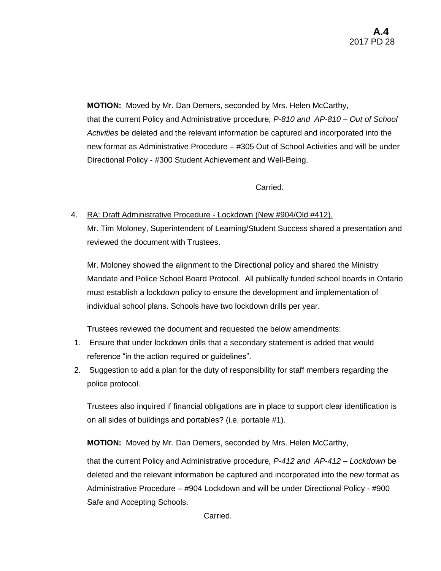**MOTION:** Moved by Mr. Dan Demers, seconded by Mrs. Helen McCarthy, that the current Policy and Administrative procedure*, P-810 and AP-810 – Out of School Activities* be deleted and the relevant information be captured and incorporated into the new format as Administrative Procedure – #305 Out of School Activities and will be under Directional Policy - #300 Student Achievement and Well-Being.

Carried.

4. RA: Draft Administrative Procedure - Lockdown (New #904/Old #412). Mr. Tim Moloney, Superintendent of Learning/Student Success shared a presentation and reviewed the document with Trustees.

Mr. Moloney showed the alignment to the Directional policy and shared the Ministry Mandate and Police School Board Protocol. All publically funded school boards in Ontario must establish a lockdown policy to ensure the development and implementation of individual school plans. Schools have two lockdown drills per year.

Trustees reviewed the document and requested the below amendments:

- 1. Ensure that under lockdown drills that a secondary statement is added that would reference "in the action required or guidelines".
- 2. Suggestion to add a plan for the duty of responsibility for staff members regarding the police protocol.

Trustees also inquired if financial obligations are in place to support clear identification is on all sides of buildings and portables? (i.e. portable #1).

**MOTION:** Moved by Mr. Dan Demers, seconded by Mrs. Helen McCarthy,

that the current Policy and Administrative procedure*, P-412 and AP-412 – Lockdown* be deleted and the relevant information be captured and incorporated into the new format as Administrative Procedure – #904 Lockdown and will be under Directional Policy - #900 Safe and Accepting Schools.

Carried.